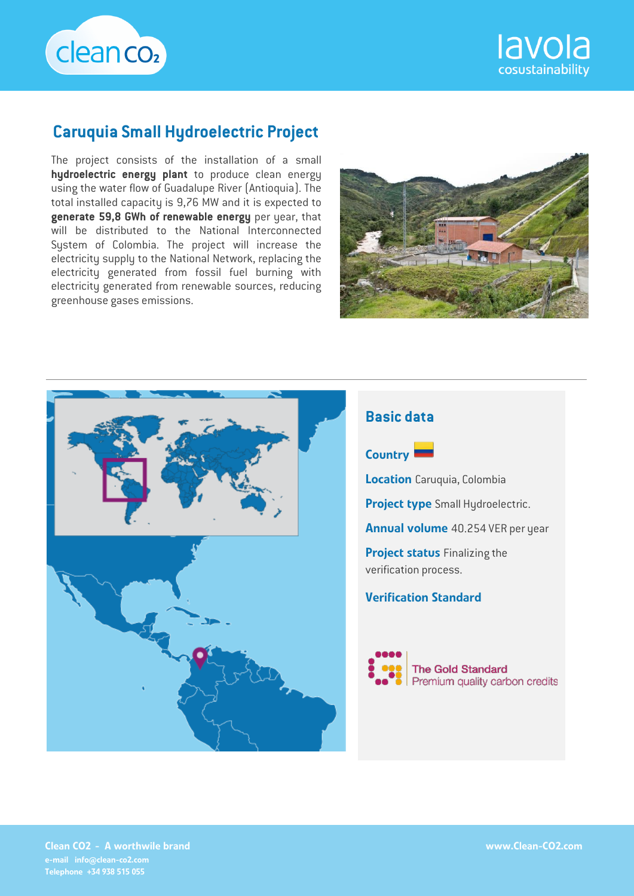



# **Caruquia Small Hydroelectric Project**

The project consists of the installation of a small **hydroelectric energy plant** to produce clean energy using the water flow of Guadalupe River (Antioquia). The total installed capacity is 9,76 MW and it is expected to **generate 59,8 GWh of renewable energy** per year, that will be distributed to the National Interconnected System of Colombia. The project will increase the electricity supply to the National Network, replacing the electricity generated from fossil fuel burning with electricity generated from renewable sources, reducing greenhouse gases emissions.





## **Basic data**



**Location** Caruquia, Colombia

Project type Small Hydroelectric.

Annual volume 40.254 VER per year

**Project status Finalizing the** verification process.

#### Verification Standard



Clean CO2 - A worthwile brand e-mail info@clean-co2.com Telephone +34 938 515 055